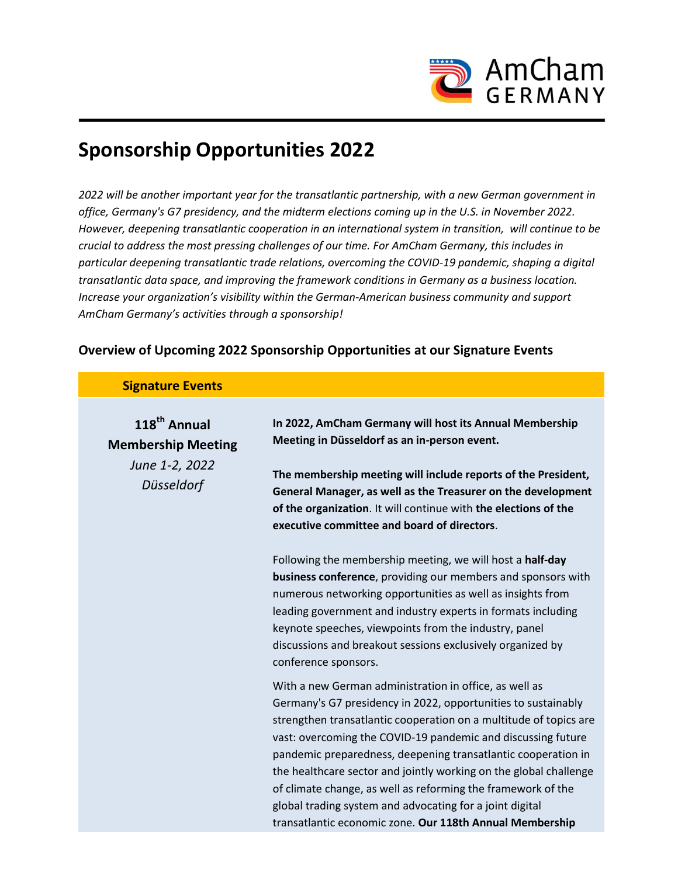

# **Sponsorship Opportunities 2022**

*2022 will be another important year for the transatlantic partnership, with a new German government in office, Germany's G7 presidency, and the midterm elections coming up in the U.S. in November 2022. However, deepening transatlantic cooperation in an international system in transition, will continue to be crucial to address the most pressing challenges of our time. For AmCham Germany, this includes in particular deepening transatlantic trade relations, overcoming the COVID-19 pandemic, shaping a digital transatlantic data space, and improving the framework conditions in Germany as a business location. Increase your organization's visibility within the German-American business community and support AmCham Germany's activities through a sponsorship!*

### **Overview of Upcoming 2022 Sponsorship Opportunities at our Signature Events**

#### **Signature Events**

| 118 <sup>th</sup> Annual<br><b>Membership Meeting</b><br>June 1-2, 2022<br>Düsseldorf | In 2022, AmCham Germany will host its Annual Membership<br>Meeting in Düsseldorf as an in-person event.                                                                                                                                                                                                                                                                                                                                                                                                                                                                                    |
|---------------------------------------------------------------------------------------|--------------------------------------------------------------------------------------------------------------------------------------------------------------------------------------------------------------------------------------------------------------------------------------------------------------------------------------------------------------------------------------------------------------------------------------------------------------------------------------------------------------------------------------------------------------------------------------------|
|                                                                                       | The membership meeting will include reports of the President,<br>General Manager, as well as the Treasurer on the development<br>of the organization. It will continue with the elections of the<br>executive committee and board of directors.                                                                                                                                                                                                                                                                                                                                            |
|                                                                                       | Following the membership meeting, we will host a half-day<br>business conference, providing our members and sponsors with<br>numerous networking opportunities as well as insights from<br>leading government and industry experts in formats including<br>keynote speeches, viewpoints from the industry, panel<br>discussions and breakout sessions exclusively organized by<br>conference sponsors.                                                                                                                                                                                     |
|                                                                                       | With a new German administration in office, as well as<br>Germany's G7 presidency in 2022, opportunities to sustainably<br>strengthen transatlantic cooperation on a multitude of topics are<br>vast: overcoming the COVID-19 pandemic and discussing future<br>pandemic preparedness, deepening transatlantic cooperation in<br>the healthcare sector and jointly working on the global challenge<br>of climate change, as well as reforming the framework of the<br>global trading system and advocating for a joint digital<br>transatlantic economic zone. Our 118th Annual Membership |